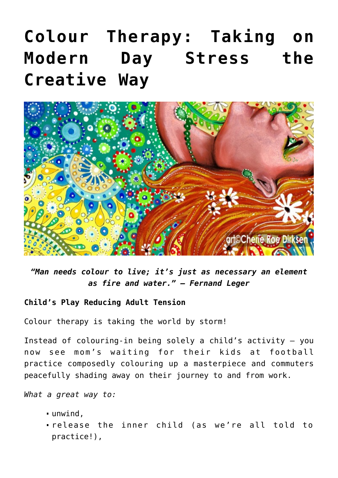## **[Colour Therapy: Taking on](https://consciouslifenews.com/color-therapy-modern-day-stress-creative/1198001/) [Modern Day Stress the](https://consciouslifenews.com/color-therapy-modern-day-stress-creative/1198001/) [Creative Way](https://consciouslifenews.com/color-therapy-modern-day-stress-creative/1198001/)**



*"Man needs colour to live; it's just as necessary an element as fire and water." — Fernand Leger*

## **Child's Play Reducing Adult Tension**

Colour therapy is taking the world by storm!

Instead of colouring-in being solely a child's activity — you now see mom's waiting for their kids at football practice composedly colouring up a masterpiece and commuters peacefully shading away on their journey to and from work.

*What a great way to:*

- unwind,
- release the inner child (as we're all told to practice!),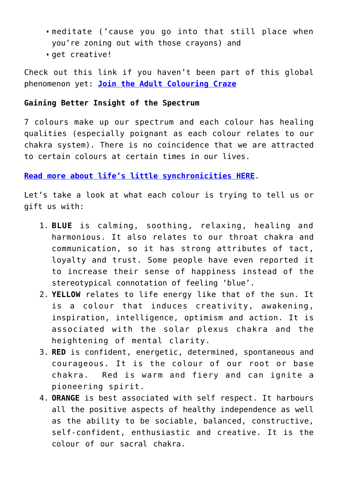- meditate ('cause you go into that still place when you're zoning out with those crayons) and
- qet creative!

Check out this link if you haven't been part of this global phenomenon yet: **[Join the Adult Colouring Craze](https://www.supermommyclub.com/adult-colouring-pages/)**

## **Gaining Better Insight of the Spectrum**

7 colours make up our spectrum and each colour has healing qualities (especially poignant as each colour relates to our chakra system). There is no coincidence that we are attracted to certain colours at certain times in our lives.

**[Read more about life's little synchronicities HERE](https://consciouslifenews.com/weird-little-synchronicities-actually-be-bomb/1191497/)**.

Let's take a look at what each colour is trying to tell us or gift us with:

- 1. **BLUE** is calming, soothing, relaxing, healing and harmonious. It also relates to our throat chakra and communication, so it has strong attributes of tact, loyalty and trust. Some people have even reported it to increase their sense of happiness instead of the stereotypical connotation of feeling 'blue'.
- 2. **YELLOW** relates to life energy like that of the sun. It is a colour that induces creativity, awakening, inspiration, intelligence, optimism and action. It is associated with the solar plexus chakra and the heightening of mental clarity.
- 3. **RED** is confident, energetic, determined, spontaneous and courageous. It is the colour of our root or base chakra. Red is warm and fiery and can ignite a pioneering spirit.
- 4. **ORANGE** is best associated with self respect. It harbours all the positive aspects of healthy independence as well as the ability to be sociable, balanced, constructive, self-confident, enthusiastic and creative. It is the colour of our sacral chakra.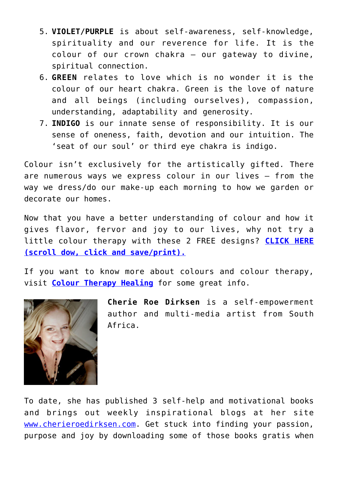- 5. **VIOLET/PURPLE** is about self-awareness, self-knowledge, spirituality and our reverence for life. It is the colour of our crown chakra — our gateway to divine, spiritual connection.
- 6. **GREEN** relates to love which is no wonder it is the colour of our heart chakra. Green is the love of nature and all beings (including ourselves), compassion, understanding, adaptability and generosity.
- 7. **INDIGO** is our innate sense of responsibility. It is our sense of oneness, faith, devotion and our intuition. The 'seat of our soul' or third eye chakra is indigo.

Colour isn't exclusively for the artistically gifted. There are numerous ways we express colour in our lives — from the way we dress/do our make-up each morning to how we garden or decorate our homes.

Now that you have a better understanding of colour and how it gives flavor, fervor and joy to our lives, why not try a little colour therapy with these 2 FREE designs? **[CLICK HERE](https://consciouslifenews.com/creative-relieve-stress-benefit-color-therapy-today/1190866/) [\(scroll dow, click and save/print\).](https://consciouslifenews.com/creative-relieve-stress-benefit-color-therapy-today/1190866/)**

If you want to know more about colours and colour therapy, visit **[Colour Therapy Healing](https://www.colourtherapyhealing.com/)** for some great info.



**Cherie Roe Dirksen** is a self-empowerment author and multi-media artist from South Africa.

To date, she has published 3 self-help and motivational books and brings out weekly inspirational blogs at her site [www.cherieroedirksen.com](https://www.cherieroedirksen.com/). Get stuck into finding your passion, purpose and joy by downloading some of those books gratis when